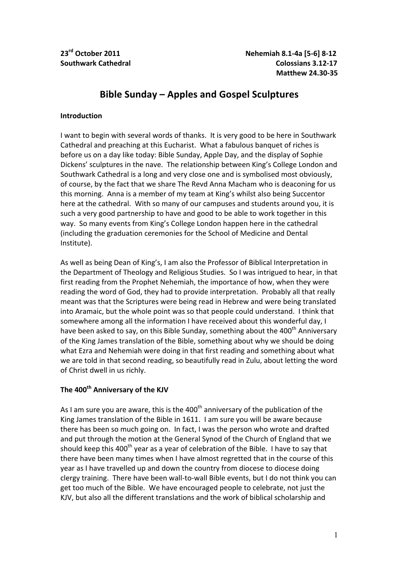# **Bible Sunday – Apples and Gospel Sculptures**

### **Introduction**

I want to begin with several words of thanks. It is very good to be here in Southwark Cathedral and preaching at this Eucharist. What a fabulous banquet of riches is before us on a day like today: Bible Sunday, Apple Day, and the display of Sophie Dickens' sculptures in the nave. The relationship between King's College London and Southwark Cathedral is a long and very close one and is symbolised most obviously, of course, by the fact that we share The Revd Anna Macham who is deaconing for us this morning. Anna is a member of my team at King's whilst also being Succentor here at the cathedral. With so many of our campuses and students around you, it is such a very good partnership to have and good to be able to work together in this way. So many events from King's College London happen here in the cathedral (including the graduation ceremonies for the School of Medicine and Dental Institute).

As well as being Dean of King's, I am also the Professor of Biblical Interpretation in the Department of Theology and Religious Studies. So I was intrigued to hear, in that first reading from the Prophet Nehemiah, the importance of how, when they were reading the word of God, they had to provide interpretation. Probably all that really meant was that the Scriptures were being read in Hebrew and were being translated into Aramaic, but the whole point was so that people could understand. I think that somewhere among all the information I have received about this wonderful day, I have been asked to say, on this Bible Sunday, something about the 400<sup>th</sup> Anniversary of the King James translation of the Bible, something about why we should be doing what Ezra and Nehemiah were doing in that first reading and something about what we are told in that second reading, so beautifully read in Zulu, about letting the word of Christ dwell in us richly.

## The 400<sup>th</sup> Anniversary of the KJV

As I am sure you are aware, this is the  $400<sup>th</sup>$  anniversary of the publication of the King James translation of the Bible in 1611. I am sure you will be aware because there has been so much going on. In fact, I was the person who wrote and drafted and put through the motion at the General Synod of the Church of England that we should keep this 400<sup>th</sup> year as a year of celebration of the Bible. I have to say that there have been many times when I have almost regretted that in the course of this year as I have travelled up and down the country from diocese to diocese doing clergy training. There have been wall-to-wall Bible events, but I do not think you can get too much of the Bible. We have encouraged people to celebrate, not just the KJV, but also all the different translations and the work of biblical scholarship and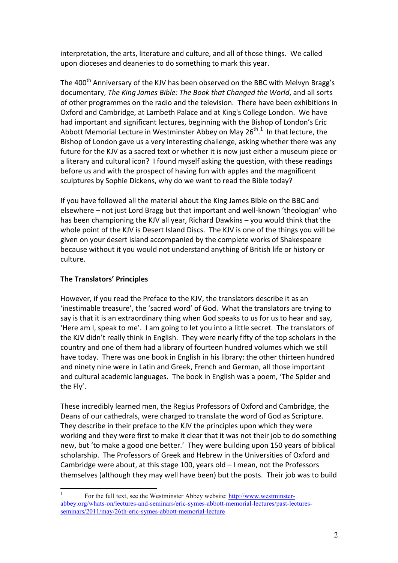interpretation, the arts, literature and culture, and all of those things. We called upon dioceses and deaneries to do something to mark this year.

The 400<sup>th</sup> Anniversary of the KJV has been observed on the BBC with Melvyn Bragg's documentary, *The King James Bible: The Book that Changed the World*, and all sorts of other programmes on the radio and the television. There have been exhibitions in Oxford and Cambridge, at Lambeth Palace and at King's College London. We have had important and significant lectures, beginning with the Bishop of London's Eric Abbott Memorial Lecture in Westminster Abbey on May 26<sup>th 1</sup> In that lecture, the Bishop of London gave us a very interesting challenge, asking whether there was any future for the KJV as a sacred text or whether it is now just either a museum piece or a literary and cultural icon? I found myself asking the question, with these readings before us and with the prospect of having fun with apples and the magnificent sculptures by Sophie Dickens, why do we want to read the Bible today?

If you have followed all the material about the King James Bible on the BBC and elsewhere – not just Lord Bragg but that important and well-known 'theologian' who has been championing the KJV all year, Richard Dawkins – you would think that the whole point of the KJV is Desert Island Discs. The KJV is one of the things you will be given on your desert island accompanied by the complete works of Shakespeare because without it you would not understand anything of British life or history or culture. 

## **The Translators' Principles**

However, if you read the Preface to the KJV, the translators describe it as an 'inestimable treasure', the 'sacred word' of God. What the translators are trying to say is that it is an extraordinary thing when God speaks to us for us to hear and say, Here am I, speak to me'. I am going to let you into a little secret. The translators of the KJV didn't really think in English. They were nearly fifty of the top scholars in the country and one of them had a library of fourteen hundred volumes which we still have today. There was one book in English in his library: the other thirteen hundred and ninety nine were in Latin and Greek, French and German, all those important and cultural academic languages. The book in English was a poem, 'The Spider and the Fly'.

These incredibly learned men, the Regius Professors of Oxford and Cambridge, the Deans of our cathedrals, were charged to translate the word of God as Scripture. They describe in their preface to the KJV the principles upon which they were working and they were first to make it clear that it was not their job to do something new, but 'to make a good one better.' They were building upon 150 years of biblical scholarship. The Professors of Greek and Hebrew in the Universities of Oxford and Cambridge were about, at this stage  $100$ , years old  $-1$  mean, not the Professors themselves (although they may well have been) but the posts. Their job was to build

 <sup>1</sup> For the full text, see the Westminster Abbey website: http://www.westminsterabbey.org/whats-on/lectures-and-seminars/eric-symes-abbott-memorial-lectures/past-lecturesseminars/2011/may/26th-eric-symes-abbott-memorial-lecture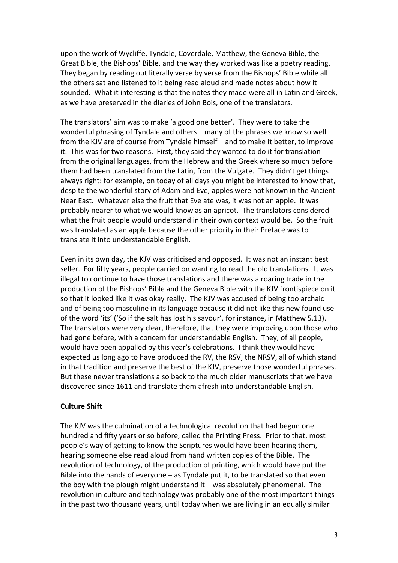upon the work of Wycliffe, Tyndale, Coverdale, Matthew, the Geneva Bible, the Great Bible, the Bishops' Bible, and the way they worked was like a poetry reading. They began by reading out literally verse by verse from the Bishops' Bible while all the others sat and listened to it being read aloud and made notes about how it sounded. What it interesting is that the notes they made were all in Latin and Greek, as we have preserved in the diaries of John Bois, one of the translators.

The translators' aim was to make 'a good one better'. They were to take the wonderful phrasing of Tyndale and others – many of the phrases we know so well from the KJV are of course from Tyndale himself – and to make it better, to improve it. This was for two reasons. First, they said they wanted to do it for translation from the original languages, from the Hebrew and the Greek where so much before them had been translated from the Latin, from the Vulgate. They didn't get things always right: for example, on today of all days you might be interested to know that, despite the wonderful story of Adam and Eve, apples were not known in the Ancient Near East. Whatever else the fruit that Eve ate was, it was not an apple. It was probably nearer to what we would know as an apricot. The translators considered what the fruit people would understand in their own context would be. So the fruit was translated as an apple because the other priority in their Preface was to translate it into understandable English.

Even in its own day, the KJV was criticised and opposed. It was not an instant best seller. For fifty years, people carried on wanting to read the old translations. It was illegal to continue to have those translations and there was a roaring trade in the production of the Bishops' Bible and the Geneva Bible with the KJV frontispiece on it so that it looked like it was okay really. The KJV was accused of being too archaic and of being too masculine in its language because it did not like this new found use of the word 'its' ('So if the salt has lost his savour', for instance, in Matthew 5.13). The translators were very clear, therefore, that they were improving upon those who had gone before, with a concern for understandable English. They, of all people, would have been appalled by this year's celebrations. I think they would have expected us long ago to have produced the RV, the RSV, the NRSV, all of which stand in that tradition and preserve the best of the KJV, preserve those wonderful phrases. But these newer translations also back to the much older manuscripts that we have discovered since 1611 and translate them afresh into understandable English.

#### **Culture Shift**

The KJV was the culmination of a technological revolution that had begun one hundred and fifty years or so before, called the Printing Press. Prior to that, most people's way of getting to know the Scriptures would have been hearing them, hearing someone else read aloud from hand written copies of the Bible. The revolution of technology, of the production of printing, which would have put the Bible into the hands of everyone  $-$  as Tyndale put it, to be translated so that even the boy with the plough might understand  $it - was absolutely phenomena.$  The revolution in culture and technology was probably one of the most important things in the past two thousand years, until today when we are living in an equally similar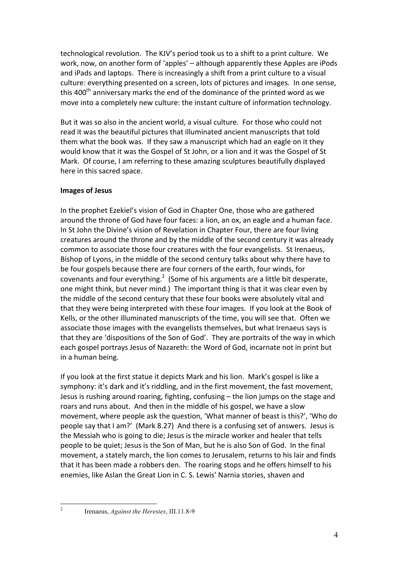technological revolution. The KJV's period took us to a shift to a print culture. We work, now, on another form of 'apples' – although apparently these Apples are iPods and iPads and laptops. There is increasingly a shift from a print culture to a visual culture: everything presented on a screen, lots of pictures and images. In one sense, this  $400<sup>th</sup>$  anniversary marks the end of the dominance of the printed word as we move into a completely new culture: the instant culture of information technology.

But it was so also in the ancient world, a visual culture. For those who could not read it was the beautiful pictures that illuminated ancient manuscripts that told them what the book was. If they saw a manuscript which had an eagle on it they would know that it was the Gospel of St John, or a lion and it was the Gospel of St Mark. Of course, I am referring to these amazing sculptures beautifully displayed here in this sacred space.

### **Images of Jesus**

In the prophet Ezekiel's vision of God in Chapter One, those who are gathered around the throne of God have four faces: a lion, an ox, an eagle and a human face. In St John the Divine's vision of Revelation in Chapter Four, there are four living creatures around the throne and by the middle of the second century it was already common to associate those four creatures with the four evangelists. St Irenaeus, Bishop of Lyons, in the middle of the second century talks about why there have to be four gospels because there are four corners of the earth, four winds, for covenants and four everything.<sup>2</sup> (Some of his arguments are a little bit desperate, one might think, but never mind.) The important thing is that it was clear even by the middle of the second century that these four books were absolutely vital and that they were being interpreted with these four images. If you look at the Book of Kells, or the other illuminated manuscripts of the time, you will see that. Often we associate those images with the evangelists themselves, but what Irenaeus says is that they are 'dispositions of the Son of God'. They are portraits of the way in which each gospel portrays Jesus of Nazareth: the Word of God, incarnate not in print but in a human being.

If you look at the first statue it depicts Mark and his lion. Mark's gospel is like a symphony: it's dark and it's riddling, and in the first movement, the fast movement, Jesus is rushing around roaring, fighting, confusing  $-$  the lion jumps on the stage and roars and runs about. And then in the middle of his gospel, we have a slow movement, where people ask the question, 'What manner of beast is this?', 'Who do people say that I am?' (Mark 8.27) And there is a confusing set of answers. Jesus is the Messiah who is going to die; Jesus is the miracle worker and healer that tells people to be quiet; Jesus is the Son of Man, but he is also Son of God. In the final movement, a stately march, the lion comes to Jerusalem, returns to his lair and finds that it has been made a robbers den. The roaring stops and he offers himself to his enemies, like Aslan the Great Lion in C. S. Lewis' Narnia stories, shaven and

 <sup>2</sup> Irenaeus, *Against the Heresies*, III.11.8-9